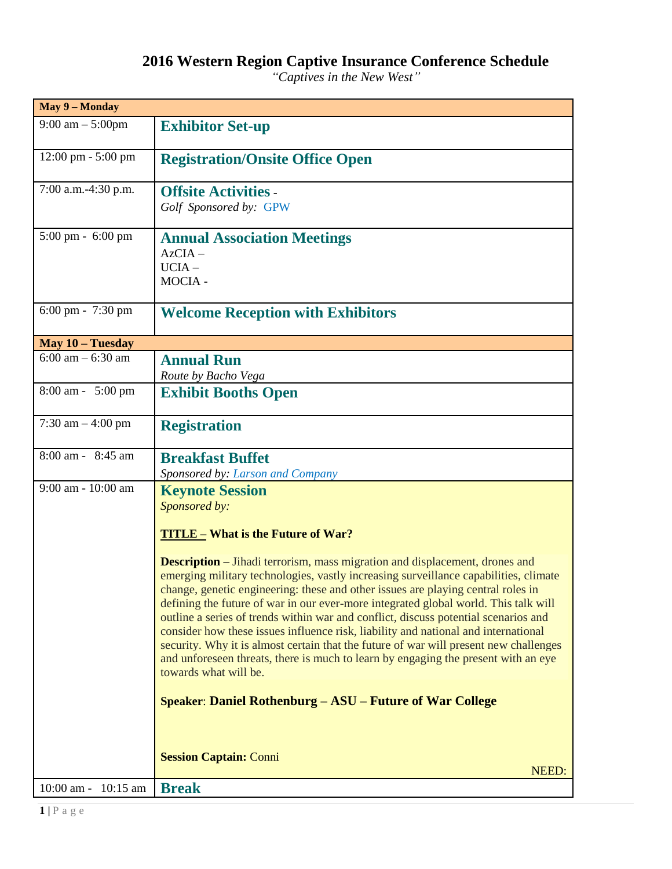## **2016 Western Region Captive Insurance Conference Schedule**

*"Captives in the New West"*

| May 9 - Monday                       |                                                                                                                                                                                                                                                                                                                                                                                                                                                                                                                                                                                                                                                                                                                                            |  |  |
|--------------------------------------|--------------------------------------------------------------------------------------------------------------------------------------------------------------------------------------------------------------------------------------------------------------------------------------------------------------------------------------------------------------------------------------------------------------------------------------------------------------------------------------------------------------------------------------------------------------------------------------------------------------------------------------------------------------------------------------------------------------------------------------------|--|--|
| $9:00 \text{ am} - 5:00 \text{ pm}$  | <b>Exhibitor Set-up</b>                                                                                                                                                                                                                                                                                                                                                                                                                                                                                                                                                                                                                                                                                                                    |  |  |
| $12:00 \text{ pm} - 5:00 \text{ pm}$ | <b>Registration/Onsite Office Open</b>                                                                                                                                                                                                                                                                                                                                                                                                                                                                                                                                                                                                                                                                                                     |  |  |
| 7:00 a.m.-4:30 p.m.                  | <b>Offsite Activities -</b><br>Golf Sponsored by: GPW                                                                                                                                                                                                                                                                                                                                                                                                                                                                                                                                                                                                                                                                                      |  |  |
| 5:00 pm - 6:00 pm                    | <b>Annual Association Meetings</b><br>$AzCIA -$<br>$UCIA -$<br>MOCIA -                                                                                                                                                                                                                                                                                                                                                                                                                                                                                                                                                                                                                                                                     |  |  |
| 6:00 pm - 7:30 pm                    | <b>Welcome Reception with Exhibitors</b>                                                                                                                                                                                                                                                                                                                                                                                                                                                                                                                                                                                                                                                                                                   |  |  |
| May 10 - Tuesday                     |                                                                                                                                                                                                                                                                                                                                                                                                                                                                                                                                                                                                                                                                                                                                            |  |  |
| $6:00$ am $-6:30$ am                 | <b>Annual Run</b><br>Route by Bacho Vega                                                                                                                                                                                                                                                                                                                                                                                                                                                                                                                                                                                                                                                                                                   |  |  |
| 8:00 am - 5:00 pm                    | <b>Exhibit Booths Open</b>                                                                                                                                                                                                                                                                                                                                                                                                                                                                                                                                                                                                                                                                                                                 |  |  |
| 7:30 am $-4:00$ pm                   | <b>Registration</b>                                                                                                                                                                                                                                                                                                                                                                                                                                                                                                                                                                                                                                                                                                                        |  |  |
| 8:00 am - 8:45 am                    | <b>Breakfast Buffet</b><br>Sponsored by: Larson and Company                                                                                                                                                                                                                                                                                                                                                                                                                                                                                                                                                                                                                                                                                |  |  |
| 9:00 am - 10:00 am                   | <b>Keynote Session</b><br>Sponsored by:                                                                                                                                                                                                                                                                                                                                                                                                                                                                                                                                                                                                                                                                                                    |  |  |
|                                      |                                                                                                                                                                                                                                                                                                                                                                                                                                                                                                                                                                                                                                                                                                                                            |  |  |
|                                      | <b>TITLE – What is the Future of War?</b>                                                                                                                                                                                                                                                                                                                                                                                                                                                                                                                                                                                                                                                                                                  |  |  |
|                                      | <b>Description</b> – Jihadi terrorism, mass migration and displacement, drones and<br>emerging military technologies, vastly increasing surveillance capabilities, climate<br>change, genetic engineering: these and other issues are playing central roles in<br>defining the future of war in our ever-more integrated global world. This talk will<br>outline a series of trends within war and conflict, discuss potential scenarios and<br>consider how these issues influence risk, liability and national and international<br>security. Why it is almost certain that the future of war will present new challenges<br>and unforeseen threats, there is much to learn by engaging the present with an eye<br>towards what will be. |  |  |
|                                      | <b>Speaker: Daniel Rothenburg – ASU – Future of War College</b>                                                                                                                                                                                                                                                                                                                                                                                                                                                                                                                                                                                                                                                                            |  |  |
|                                      | <b>Session Captain: Conni</b><br>NEED:                                                                                                                                                                                                                                                                                                                                                                                                                                                                                                                                                                                                                                                                                                     |  |  |
| 10:00 am -<br>$10:15$ am             | <b>Break</b>                                                                                                                                                                                                                                                                                                                                                                                                                                                                                                                                                                                                                                                                                                                               |  |  |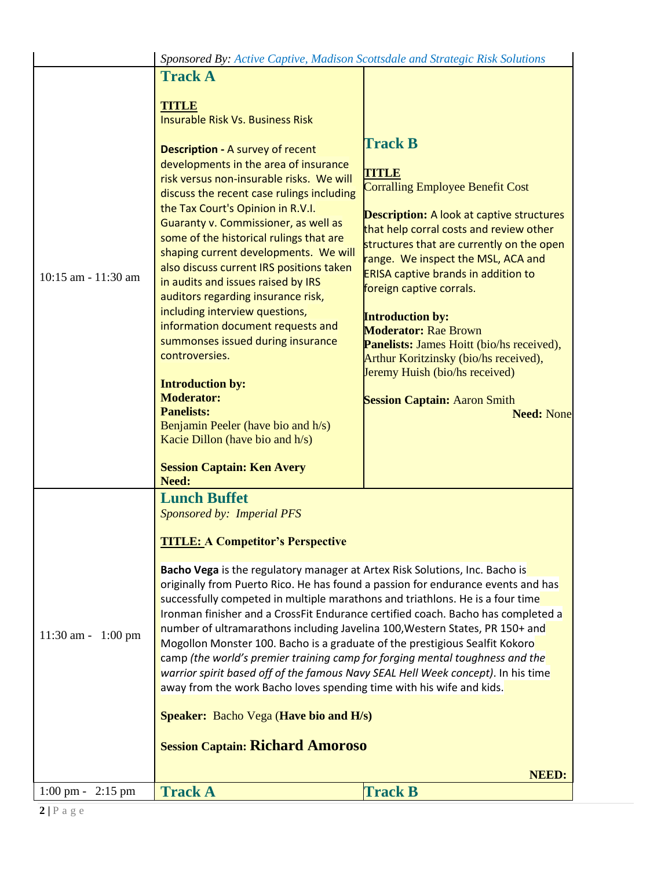|                                  | Sponsored By: Active Captive, Madison Scottsdale and Strategic Risk Solutions                                                                                                                                                                                                                                                                                                                                                                                                                                                                                                                                                                                                                                                                                                                                                                                                                                                                                       |                                                                                                                                                                                                                                                                                                                                                                                                                                                                                                                                                                                     |
|----------------------------------|---------------------------------------------------------------------------------------------------------------------------------------------------------------------------------------------------------------------------------------------------------------------------------------------------------------------------------------------------------------------------------------------------------------------------------------------------------------------------------------------------------------------------------------------------------------------------------------------------------------------------------------------------------------------------------------------------------------------------------------------------------------------------------------------------------------------------------------------------------------------------------------------------------------------------------------------------------------------|-------------------------------------------------------------------------------------------------------------------------------------------------------------------------------------------------------------------------------------------------------------------------------------------------------------------------------------------------------------------------------------------------------------------------------------------------------------------------------------------------------------------------------------------------------------------------------------|
| 10:15 am - 11:30 am              | <b>Track A</b><br><b>TITLE</b><br><b>Insurable Risk Vs. Business Risk</b><br><b>Description - A survey of recent</b><br>developments in the area of insurance<br>risk versus non-insurable risks. We will<br>discuss the recent case rulings including<br>the Tax Court's Opinion in R.V.I.<br>Guaranty v. Commissioner, as well as<br>some of the historical rulings that are<br>shaping current developments. We will<br>also discuss current IRS positions taken<br>in audits and issues raised by IRS<br>auditors regarding insurance risk,<br>including interview questions,<br>information document requests and<br>summonses issued during insurance<br>controversies.<br><b>Introduction by:</b><br><b>Moderator:</b><br><b>Panelists:</b><br>Benjamin Peeler (have bio and h/s)<br>Kacie Dillon (have bio and h/s)<br><b>Session Captain: Ken Avery</b><br>Need:                                                                                           | <b>Track B</b><br><b>TITLE</b><br><b>Corralling Employee Benefit Cost</b><br><b>Description:</b> A look at captive structures<br>that help corral costs and review other<br>structures that are currently on the open<br>range. We inspect the MSL, ACA and<br><b>ERISA captive brands in addition to</b><br>foreign captive corrals.<br><b>Introduction by:</b><br><b>Moderator: Rae Brown</b><br>Panelists: James Hoitt (bio/hs received),<br>Arthur Koritzinsky (bio/hs received),<br>Jeremy Huish (bio/hs received)<br><b>Session Captain: Aaron Smith</b><br><b>Need: None</b> |
| $11:30$ am - $1:00$ pm           | <b>Lunch Buffet</b><br>Sponsored by: Imperial PFS<br><b>TITLE: A Competitor's Perspective</b><br><b>Bacho Vega</b> is the regulatory manager at Artex Risk Solutions, Inc. Bacho is<br>originally from Puerto Rico. He has found a passion for endurance events and has<br>successfully competed in multiple marathons and triathlons. He is a four time<br>Ironman finisher and a CrossFit Endurance certified coach. Bacho has completed a<br>number of ultramarathons including Javelina 100, Western States, PR 150+ and<br>Mogollon Monster 100. Bacho is a graduate of the prestigious Sealfit Kokoro<br>camp (the world's premier training camp for forging mental toughness and the<br>warrior spirit based off of the famous Navy SEAL Hell Week concept). In his time<br>away from the work Bacho loves spending time with his wife and kids.<br><b>Speaker:</b> Bacho Vega (Have bio and H/s)<br><b>Session Captain: Richard Amoroso</b><br><b>NEED:</b> |                                                                                                                                                                                                                                                                                                                                                                                                                                                                                                                                                                                     |
| $1:00 \text{ pm} -$<br>$2:15$ pm | <b>Track A</b>                                                                                                                                                                                                                                                                                                                                                                                                                                                                                                                                                                                                                                                                                                                                                                                                                                                                                                                                                      | <b>Track B</b>                                                                                                                                                                                                                                                                                                                                                                                                                                                                                                                                                                      |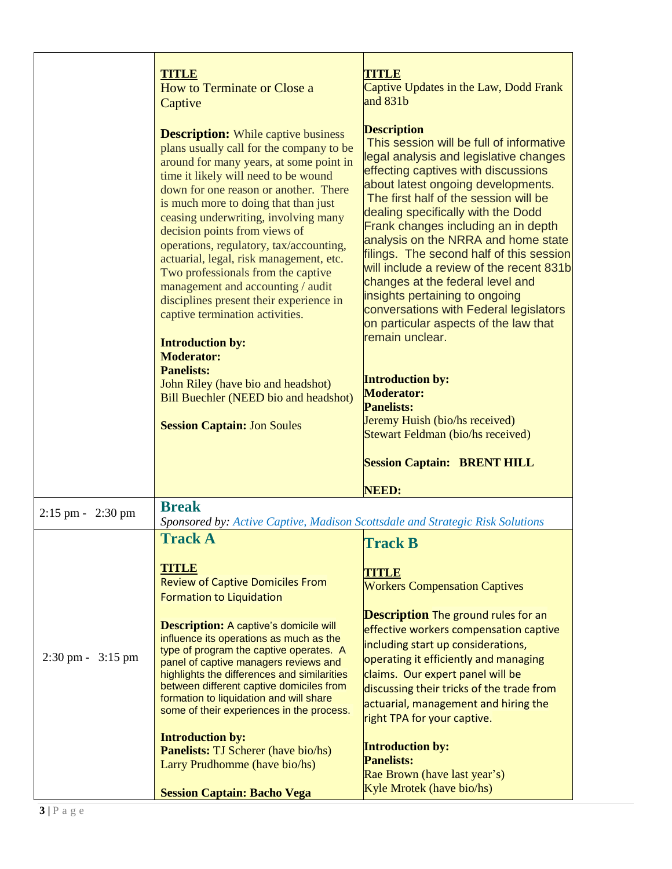|                                     | <b>TITLE</b><br><b>How to Terminate or Close a</b><br>Captive                                                                                                                                                                                                                                                                                                                                                                                                                                                                                                                                                                                                                                 | <b>TITLE</b><br>Captive Updates in the Law, Dodd Frank<br>and $831b$                                                                                                                                                                                                                                                                                                                                                                                                                                                                                                                                                                              |
|-------------------------------------|-----------------------------------------------------------------------------------------------------------------------------------------------------------------------------------------------------------------------------------------------------------------------------------------------------------------------------------------------------------------------------------------------------------------------------------------------------------------------------------------------------------------------------------------------------------------------------------------------------------------------------------------------------------------------------------------------|---------------------------------------------------------------------------------------------------------------------------------------------------------------------------------------------------------------------------------------------------------------------------------------------------------------------------------------------------------------------------------------------------------------------------------------------------------------------------------------------------------------------------------------------------------------------------------------------------------------------------------------------------|
|                                     | <b>Description:</b> While captive business<br>plans usually call for the company to be<br>around for many years, at some point in<br>time it likely will need to be wound<br>down for one reason or another. There<br>is much more to doing that than just<br>ceasing underwriting, involving many<br>decision points from views of<br>operations, regulatory, tax/accounting,<br>actuarial, legal, risk management, etc.<br>Two professionals from the captive<br>management and accounting / audit<br>disciplines present their experience in<br>captive termination activities.<br><b>Introduction by:</b><br><b>Moderator:</b><br><b>Panelists:</b><br>John Riley (have bio and headshot) | <b>Description</b><br>This session will be full of informative<br>legal analysis and legislative changes<br>effecting captives with discussions<br>about latest ongoing developments.<br>The first half of the session will be<br>dealing specifically with the Dodd<br>Frank changes including an in depth<br>analysis on the NRRA and home state<br>filings. The second half of this session<br>will include a review of the recent 831b<br>changes at the federal level and<br>insights pertaining to ongoing<br>conversations with Federal legislators<br>on particular aspects of the law that<br>remain unclear.<br><b>Introduction by:</b> |
|                                     | <b>Bill Buechler (NEED bio and headshot)</b>                                                                                                                                                                                                                                                                                                                                                                                                                                                                                                                                                                                                                                                  | <b>Moderator:</b><br><b>Panelists:</b><br>Jeremy Huish (bio/hs received)                                                                                                                                                                                                                                                                                                                                                                                                                                                                                                                                                                          |
|                                     | <b>Session Captain: Jon Soules</b>                                                                                                                                                                                                                                                                                                                                                                                                                                                                                                                                                                                                                                                            | <b>Stewart Feldman (bio/hs received)</b>                                                                                                                                                                                                                                                                                                                                                                                                                                                                                                                                                                                                          |
|                                     |                                                                                                                                                                                                                                                                                                                                                                                                                                                                                                                                                                                                                                                                                               | <b>Session Captain: BRENT HILL</b><br><b>NEED:</b>                                                                                                                                                                                                                                                                                                                                                                                                                                                                                                                                                                                                |
| $2:15$ pm - $2:30$ pm               | <b>Break</b>                                                                                                                                                                                                                                                                                                                                                                                                                                                                                                                                                                                                                                                                                  |                                                                                                                                                                                                                                                                                                                                                                                                                                                                                                                                                                                                                                                   |
|                                     | Sponsored by: Active Captive, Madison Scottsdale and Strategic Risk Solutions<br><b>Track A</b>                                                                                                                                                                                                                                                                                                                                                                                                                                                                                                                                                                                               | <b>Track B</b>                                                                                                                                                                                                                                                                                                                                                                                                                                                                                                                                                                                                                                    |
| $2:30 \text{ pm} - 3:15 \text{ pm}$ | <b>TITLE</b><br><b>Review of Captive Domiciles From</b><br><b>Formation to Liquidation</b><br><b>Description:</b> A captive's domicile will<br>influence its operations as much as the<br>type of program the captive operates. A<br>panel of captive managers reviews and<br>highlights the differences and similarities<br>between different captive domiciles from<br>formation to liquidation and will share<br>some of their experiences in the process.<br><b>Introduction by:</b><br><b>Panelists:</b> TJ Scherer (have bio/hs)<br>Larry Prudhomme (have bio/hs)                                                                                                                       | <b>TITLE</b><br><b>Workers Compensation Captives</b><br><b>Description</b> The ground rules for an<br>effective workers compensation captive<br>including start up considerations,<br>operating it efficiently and managing<br>claims. Our expert panel will be<br>discussing their tricks of the trade from<br>actuarial, management and hiring the<br>right TPA for your captive.<br><b>Introduction by:</b><br><b>Panelists:</b><br>Rae Brown (have last year's)                                                                                                                                                                               |
|                                     | <b>Session Captain: Bacho Vega</b>                                                                                                                                                                                                                                                                                                                                                                                                                                                                                                                                                                                                                                                            | Kyle Mrotek (have bio/hs)                                                                                                                                                                                                                                                                                                                                                                                                                                                                                                                                                                                                                         |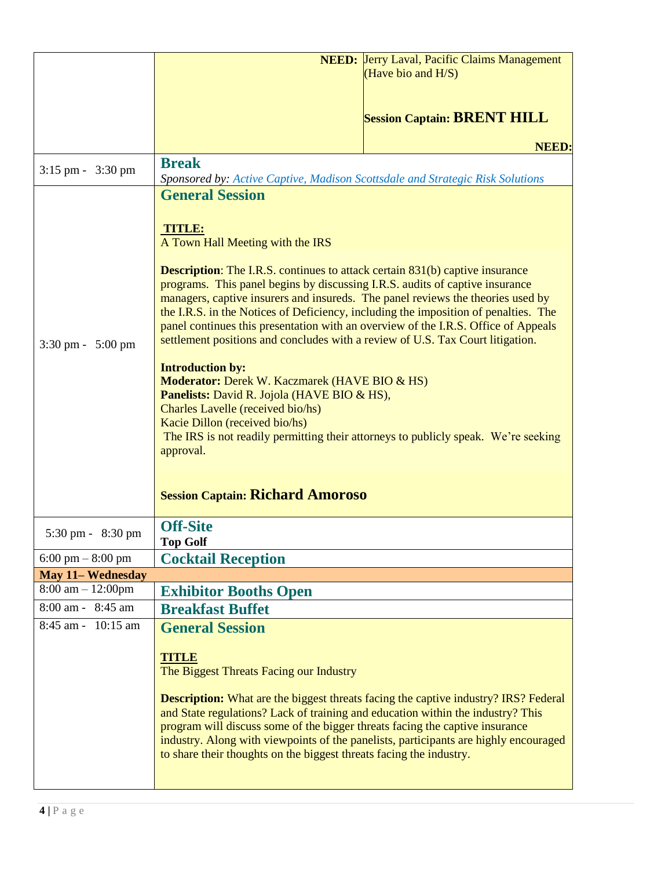|                                     | <b>NEED:</b> Jerry Laval, Pacific Claims Management                                                                                                                                                                                                                                                                                                                                                                                                                                                                   |  |  |
|-------------------------------------|-----------------------------------------------------------------------------------------------------------------------------------------------------------------------------------------------------------------------------------------------------------------------------------------------------------------------------------------------------------------------------------------------------------------------------------------------------------------------------------------------------------------------|--|--|
|                                     | (Have bio and H/S)                                                                                                                                                                                                                                                                                                                                                                                                                                                                                                    |  |  |
|                                     |                                                                                                                                                                                                                                                                                                                                                                                                                                                                                                                       |  |  |
|                                     | <b>Session Captain: BRENT HILL</b>                                                                                                                                                                                                                                                                                                                                                                                                                                                                                    |  |  |
|                                     | <b>NEED:</b>                                                                                                                                                                                                                                                                                                                                                                                                                                                                                                          |  |  |
| $3:15$ pm - $3:30$ pm               | <b>Break</b>                                                                                                                                                                                                                                                                                                                                                                                                                                                                                                          |  |  |
|                                     | Sponsored by: Active Captive, Madison Scottsdale and Strategic Risk Solutions<br><b>General Session</b>                                                                                                                                                                                                                                                                                                                                                                                                               |  |  |
| $3:30 \text{ pm} - 5:00 \text{ pm}$ | <b>TITLE:</b><br>A Town Hall Meeting with the IRS                                                                                                                                                                                                                                                                                                                                                                                                                                                                     |  |  |
|                                     | <b>Description:</b> The I.R.S. continues to attack certain 831(b) captive insurance<br>programs. This panel begins by discussing I.R.S. audits of captive insurance<br>managers, captive insurers and insureds. The panel reviews the theories used by<br>the I.R.S. in the Notices of Deficiency, including the imposition of penalties. The<br>panel continues this presentation with an overview of the I.R.S. Office of Appeals<br>settlement positions and concludes with a review of U.S. Tax Court litigation. |  |  |
|                                     | <b>Introduction by:</b><br>Moderator: Derek W. Kaczmarek (HAVE BIO & HS)<br><b>Panelists:</b> David R. Jojola (HAVE BIO & HS),<br>Charles Lavelle (received bio/hs)<br>Kacie Dillon (received bio/hs)<br>The IRS is not readily permitting their attorneys to publicly speak. We're seeking<br>approval.                                                                                                                                                                                                              |  |  |
|                                     | <b>Session Captain: Richard Amoroso</b>                                                                                                                                                                                                                                                                                                                                                                                                                                                                               |  |  |
| 5:30 pm - 8:30 pm                   | <b>Off-Site</b><br><b>Top Golf</b>                                                                                                                                                                                                                                                                                                                                                                                                                                                                                    |  |  |
| $6:00 \text{ pm} - 8:00 \text{ pm}$ | <b>Cocktail Reception</b>                                                                                                                                                                                                                                                                                                                                                                                                                                                                                             |  |  |
| <b>May 11-Wednesday</b>             |                                                                                                                                                                                                                                                                                                                                                                                                                                                                                                                       |  |  |
| $8:00 \text{ am} - 12:00 \text{pm}$ | <b>Exhibitor Booths Open</b>                                                                                                                                                                                                                                                                                                                                                                                                                                                                                          |  |  |
| 8:00 am - 8:45 am                   | <b>Breakfast Buffet</b>                                                                                                                                                                                                                                                                                                                                                                                                                                                                                               |  |  |
| 8:45 am - 10:15 am                  | <b>General Session</b>                                                                                                                                                                                                                                                                                                                                                                                                                                                                                                |  |  |
|                                     | <b>TITLE</b><br>The Biggest Threats Facing our Industry<br><b>Description:</b> What are the biggest threats facing the captive industry? IRS? Federal<br>and State regulations? Lack of training and education within the industry? This<br>program will discuss some of the bigger threats facing the captive insurance<br>industry. Along with viewpoints of the panelists, participants are highly encouraged<br>to share their thoughts on the biggest threats facing the industry.                               |  |  |
|                                     |                                                                                                                                                                                                                                                                                                                                                                                                                                                                                                                       |  |  |